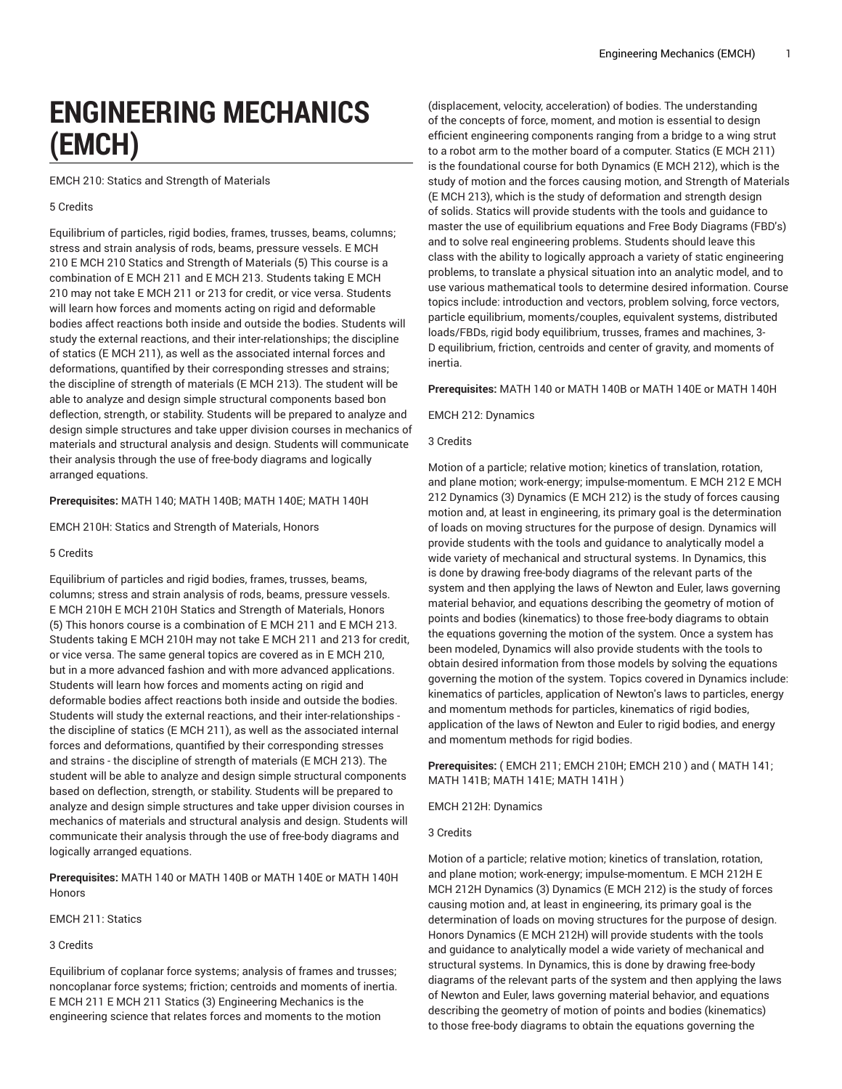# **ENGINEERING MECHANICS (EMCH)**

EMCH 210: Statics and Strength of Materials

#### 5 Credits

Equilibrium of particles, rigid bodies, frames, trusses, beams, columns; stress and strain analysis of rods, beams, pressure vessels. E MCH 210 E MCH 210 Statics and Strength of Materials (5) This course is a combination of E MCH 211 and E MCH 213. Students taking E MCH 210 may not take E MCH 211 or 213 for credit, or vice versa. Students will learn how forces and moments acting on rigid and deformable bodies affect reactions both inside and outside the bodies. Students will study the external reactions, and their inter-relationships; the discipline of statics (E MCH 211), as well as the associated internal forces and deformations, quantified by their corresponding stresses and strains; the discipline of strength of materials (E MCH 213). The student will be able to analyze and design simple structural components based bon deflection, strength, or stability. Students will be prepared to analyze and design simple structures and take upper division courses in mechanics of materials and structural analysis and design. Students will communicate their analysis through the use of free-body diagrams and logically arranged equations.

### **Prerequisites:** MATH 140; MATH 140B; MATH 140E; MATH 140H

EMCH 210H: Statics and Strength of Materials, Honors

#### 5 Credits

Equilibrium of particles and rigid bodies, frames, trusses, beams, columns; stress and strain analysis of rods, beams, pressure vessels. E MCH 210H E MCH 210H Statics and Strength of Materials, Honors (5) This honors course is a combination of E MCH 211 and E MCH 213. Students taking E MCH 210H may not take E MCH 211 and 213 for credit, or vice versa. The same general topics are covered as in E MCH 210, but in a more advanced fashion and with more advanced applications. Students will learn how forces and moments acting on rigid and deformable bodies affect reactions both inside and outside the bodies. Students will study the external reactions, and their inter-relationships the discipline of statics (E MCH 211), as well as the associated internal forces and deformations, quantified by their corresponding stresses and strains - the discipline of strength of materials (E MCH 213). The student will be able to analyze and design simple structural components based on deflection, strength, or stability. Students will be prepared to analyze and design simple structures and take upper division courses in mechanics of materials and structural analysis and design. Students will communicate their analysis through the use of free-body diagrams and logically arranged equations.

**Prerequisites:** MATH 140 or MATH 140B or MATH 140E or MATH 140H Honors

EMCH 211: Statics

## 3 Credits

Equilibrium of coplanar force systems; analysis of frames and trusses; noncoplanar force systems; friction; centroids and moments of inertia. E MCH 211 E MCH 211 Statics (3) Engineering Mechanics is the engineering science that relates forces and moments to the motion

(displacement, velocity, acceleration) of bodies. The understanding of the concepts of force, moment, and motion is essential to design efficient engineering components ranging from a bridge to a wing strut to a robot arm to the mother board of a computer. Statics (E MCH 211) is the foundational course for both Dynamics (E MCH 212), which is the study of motion and the forces causing motion, and Strength of Materials (E MCH 213), which is the study of deformation and strength design of solids. Statics will provide students with the tools and guidance to master the use of equilibrium equations and Free Body Diagrams (FBD's) and to solve real engineering problems. Students should leave this class with the ability to logically approach a variety of static engineering problems, to translate a physical situation into an analytic model, and to use various mathematical tools to determine desired information. Course topics include: introduction and vectors, problem solving, force vectors, particle equilibrium, moments/couples, equivalent systems, distributed loads/FBDs, rigid body equilibrium, trusses, frames and machines, 3- D equilibrium, friction, centroids and center of gravity, and moments of inertia.

#### **Prerequisites:** MATH 140 or MATH 140B or MATH 140E or MATH 140H

EMCH 212: Dynamics

#### 3 Credits

Motion of a particle; relative motion; kinetics of translation, rotation, and plane motion; work-energy; impulse-momentum. E MCH 212 E MCH 212 Dynamics (3) Dynamics (E MCH 212) is the study of forces causing motion and, at least in engineering, its primary goal is the determination of loads on moving structures for the purpose of design. Dynamics will provide students with the tools and guidance to analytically model a wide variety of mechanical and structural systems. In Dynamics, this is done by drawing free-body diagrams of the relevant parts of the system and then applying the laws of Newton and Euler, laws governing material behavior, and equations describing the geometry of motion of points and bodies (kinematics) to those free-body diagrams to obtain the equations governing the motion of the system. Once a system has been modeled, Dynamics will also provide students with the tools to obtain desired information from those models by solving the equations governing the motion of the system. Topics covered in Dynamics include: kinematics of particles, application of Newton's laws to particles, energy and momentum methods for particles, kinematics of rigid bodies, application of the laws of Newton and Euler to rigid bodies, and energy and momentum methods for rigid bodies.

**Prerequisites:** ( EMCH 211; EMCH 210H; EMCH 210 ) and ( MATH 141; MATH 141B; MATH 141E; MATH 141H )

EMCH 212H: Dynamics

#### 3 Credits

Motion of a particle; relative motion; kinetics of translation, rotation, and plane motion; work-energy; impulse-momentum. E MCH 212H E MCH 212H Dynamics (3) Dynamics (E MCH 212) is the study of forces causing motion and, at least in engineering, its primary goal is the determination of loads on moving structures for the purpose of design. Honors Dynamics (E MCH 212H) will provide students with the tools and guidance to analytically model a wide variety of mechanical and structural systems. In Dynamics, this is done by drawing free-body diagrams of the relevant parts of the system and then applying the laws of Newton and Euler, laws governing material behavior, and equations describing the geometry of motion of points and bodies (kinematics) to those free-body diagrams to obtain the equations governing the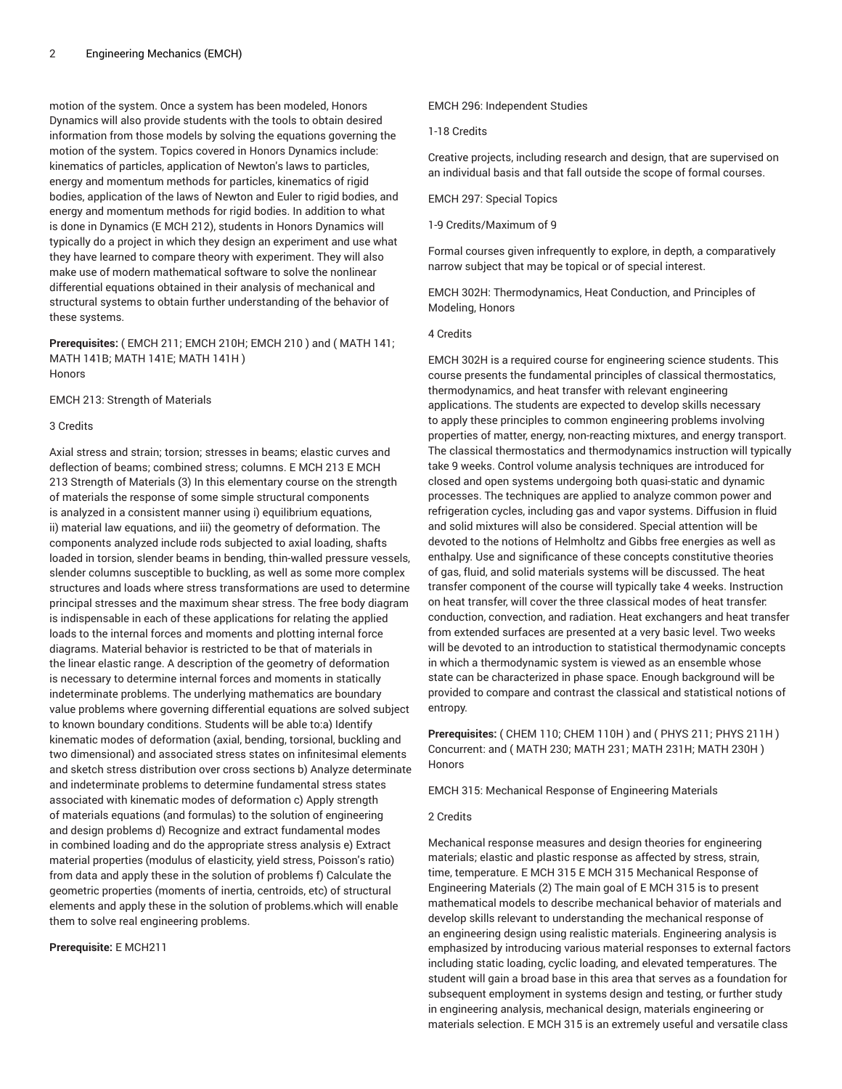motion of the system. Once a system has been modeled, Honors Dynamics will also provide students with the tools to obtain desired information from those models by solving the equations governing the motion of the system. Topics covered in Honors Dynamics include: kinematics of particles, application of Newton's laws to particles, energy and momentum methods for particles, kinematics of rigid bodies, application of the laws of Newton and Euler to rigid bodies, and energy and momentum methods for rigid bodies. In addition to what is done in Dynamics (E MCH 212), students in Honors Dynamics will typically do a project in which they design an experiment and use what they have learned to compare theory with experiment. They will also make use of modern mathematical software to solve the nonlinear differential equations obtained in their analysis of mechanical and structural systems to obtain further understanding of the behavior of these systems.

**Prerequisites:** ( EMCH 211; EMCH 210H; EMCH 210 ) and ( MATH 141; MATH 141B; MATH 141E; MATH 141H ) Honors

EMCH 213: Strength of Materials

#### 3 Credits

Axial stress and strain; torsion; stresses in beams; elastic curves and deflection of beams; combined stress; columns. E MCH 213 E MCH 213 Strength of Materials (3) In this elementary course on the strength of materials the response of some simple structural components is analyzed in a consistent manner using i) equilibrium equations, ii) material law equations, and iii) the geometry of deformation. The components analyzed include rods subjected to axial loading, shafts loaded in torsion, slender beams in bending, thin-walled pressure vessels, slender columns susceptible to buckling, as well as some more complex structures and loads where stress transformations are used to determine principal stresses and the maximum shear stress. The free body diagram is indispensable in each of these applications for relating the applied loads to the internal forces and moments and plotting internal force diagrams. Material behavior is restricted to be that of materials in the linear elastic range. A description of the geometry of deformation is necessary to determine internal forces and moments in statically indeterminate problems. The underlying mathematics are boundary value problems where governing differential equations are solved subject to known boundary conditions. Students will be able to:a) Identify kinematic modes of deformation (axial, bending, torsional, buckling and two dimensional) and associated stress states on infinitesimal elements and sketch stress distribution over cross sections b) Analyze determinate and indeterminate problems to determine fundamental stress states associated with kinematic modes of deformation c) Apply strength of materials equations (and formulas) to the solution of engineering and design problems d) Recognize and extract fundamental modes in combined loading and do the appropriate stress analysis e) Extract material properties (modulus of elasticity, yield stress, Poisson's ratio) from data and apply these in the solution of problems f) Calculate the geometric properties (moments of inertia, centroids, etc) of structural elements and apply these in the solution of problems.which will enable them to solve real engineering problems.

## **Prerequisite:** E MCH211

EMCH 296: Independent Studies

#### 1-18 Credits

Creative projects, including research and design, that are supervised on an individual basis and that fall outside the scope of formal courses.

EMCH 297: Special Topics

1-9 Credits/Maximum of 9

Formal courses given infrequently to explore, in depth, a comparatively narrow subject that may be topical or of special interest.

EMCH 302H: Thermodynamics, Heat Conduction, and Principles of Modeling, Honors

## 4 Credits

EMCH 302H is a required course for engineering science students. This course presents the fundamental principles of classical thermostatics, thermodynamics, and heat transfer with relevant engineering applications. The students are expected to develop skills necessary to apply these principles to common engineering problems involving properties of matter, energy, non-reacting mixtures, and energy transport. The classical thermostatics and thermodynamics instruction will typically take 9 weeks. Control volume analysis techniques are introduced for closed and open systems undergoing both quasi-static and dynamic processes. The techniques are applied to analyze common power and refrigeration cycles, including gas and vapor systems. Diffusion in fluid and solid mixtures will also be considered. Special attention will be devoted to the notions of Helmholtz and Gibbs free energies as well as enthalpy. Use and significance of these concepts constitutive theories of gas, fluid, and solid materials systems will be discussed. The heat transfer component of the course will typically take 4 weeks. Instruction on heat transfer, will cover the three classical modes of heat transfer: conduction, convection, and radiation. Heat exchangers and heat transfer from extended surfaces are presented at a very basic level. Two weeks will be devoted to an introduction to statistical thermodynamic concepts in which a thermodynamic system is viewed as an ensemble whose state can be characterized in phase space. Enough background will be provided to compare and contrast the classical and statistical notions of entropy.

**Prerequisites:** ( CHEM 110; CHEM 110H ) and ( PHYS 211; PHYS 211H ) Concurrent: and ( MATH 230; MATH 231; MATH 231H; MATH 230H ) Honors

EMCH 315: Mechanical Response of Engineering Materials

## 2 Credits

Mechanical response measures and design theories for engineering materials; elastic and plastic response as affected by stress, strain, time, temperature. E MCH 315 E MCH 315 Mechanical Response of Engineering Materials (2) The main goal of E MCH 315 is to present mathematical models to describe mechanical behavior of materials and develop skills relevant to understanding the mechanical response of an engineering design using realistic materials. Engineering analysis is emphasized by introducing various material responses to external factors including static loading, cyclic loading, and elevated temperatures. The student will gain a broad base in this area that serves as a foundation for subsequent employment in systems design and testing, or further study in engineering analysis, mechanical design, materials engineering or materials selection. E MCH 315 is an extremely useful and versatile class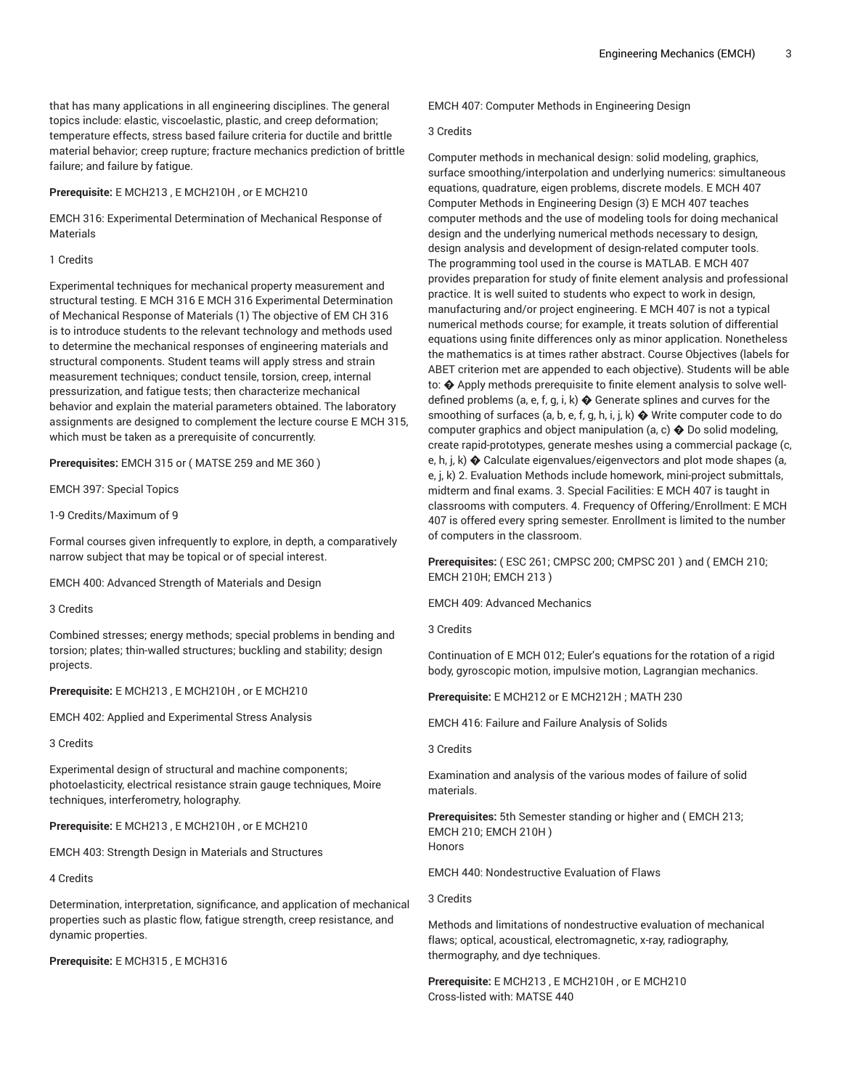that has many applications in all engineering disciplines. The general topics include: elastic, viscoelastic, plastic, and creep deformation; temperature effects, stress based failure criteria for ductile and brittle material behavior; creep rupture; fracture mechanics prediction of brittle failure; and failure by fatigue.

#### **Prerequisite:** E MCH213 , E MCH210H , or E MCH210

EMCH 316: Experimental Determination of Mechanical Response of Materials

#### 1 Credits

Experimental techniques for mechanical property measurement and structural testing. E MCH 316 E MCH 316 Experimental Determination of Mechanical Response of Materials (1) The objective of EM CH 316 is to introduce students to the relevant technology and methods used to determine the mechanical responses of engineering materials and structural components. Student teams will apply stress and strain measurement techniques; conduct tensile, torsion, creep, internal pressurization, and fatigue tests; then characterize mechanical behavior and explain the material parameters obtained. The laboratory assignments are designed to complement the lecture course E MCH 315, which must be taken as a prerequisite of concurrently.

**Prerequisites:** EMCH 315 or ( MATSE 259 and ME 360 )

EMCH 397: Special Topics

1-9 Credits/Maximum of 9

Formal courses given infrequently to explore, in depth, a comparatively narrow subject that may be topical or of special interest.

EMCH 400: Advanced Strength of Materials and Design

3 Credits

Combined stresses; energy methods; special problems in bending and torsion; plates; thin-walled structures; buckling and stability; design projects.

**Prerequisite:** E MCH213 , E MCH210H , or E MCH210

EMCH 402: Applied and Experimental Stress Analysis

3 Credits

Experimental design of structural and machine components; photoelasticity, electrical resistance strain gauge techniques, Moire techniques, interferometry, holography.

**Prerequisite:** E MCH213 , E MCH210H , or E MCH210

EMCH 403: Strength Design in Materials and Structures

4 Credits

Determination, interpretation, significance, and application of mechanical properties such as plastic flow, fatigue strength, creep resistance, and dynamic properties.

**Prerequisite:** E MCH315 , E MCH316

EMCH 407: Computer Methods in Engineering Design

#### 3 Credits

Computer methods in mechanical design: solid modeling, graphics, surface smoothing/interpolation and underlying numerics: simultaneous equations, quadrature, eigen problems, discrete models. E MCH 407 Computer Methods in Engineering Design (3) E MCH 407 teaches computer methods and the use of modeling tools for doing mechanical design and the underlying numerical methods necessary to design, design analysis and development of design-related computer tools. The programming tool used in the course is MATLAB. E MCH 407 provides preparation for study of finite element analysis and professional practice. It is well suited to students who expect to work in design, manufacturing and/or project engineering. E MCH 407 is not a typical numerical methods course; for example, it treats solution of differential equations using finite differences only as minor application. Nonetheless the mathematics is at times rather abstract. Course Objectives (labels for ABET criterion met are appended to each objective). Students will be able to: � Apply methods prerequisite to finite element analysis to solve welldefined problems (a, e, f, g, i, k) � Generate splines and curves for the smoothing of surfaces (a, b, e, f, g, h, i, j, k)  $\blacklozenge$  Write computer code to do computer graphics and object manipulation (a, c)  $\spadesuit$  Do solid modeling, create rapid-prototypes, generate meshes using a commercial package (c, e, h, j, k) � Calculate eigenvalues/eigenvectors and plot mode shapes (a, e, j, k) 2. Evaluation Methods include homework, mini-project submittals, midterm and final exams. 3. Special Facilities: E MCH 407 is taught in classrooms with computers. 4. Frequency of Offering/Enrollment: E MCH 407 is offered every spring semester. Enrollment is limited to the number of computers in the classroom.

**Prerequisites:** ( ESC 261; CMPSC 200; CMPSC 201 ) and ( EMCH 210; EMCH 210H; EMCH 213 )

EMCH 409: Advanced Mechanics

3 Credits

Continuation of E MCH 012; Euler's equations for the rotation of a rigid body, gyroscopic motion, impulsive motion, Lagrangian mechanics.

**Prerequisite:** E MCH212 or E MCH212H ; MATH 230

EMCH 416: Failure and Failure Analysis of Solids

3 Credits

Examination and analysis of the various modes of failure of solid materials.

**Prerequisites:** 5th Semester standing or higher and ( EMCH 213; EMCH 210; EMCH 210H ) Honors

EMCH 440: Nondestructive Evaluation of Flaws

3 Credits

Methods and limitations of nondestructive evaluation of mechanical flaws; optical, acoustical, electromagnetic, x-ray, radiography, thermography, and dye techniques.

**Prerequisite:** E MCH213 , E MCH210H , or E MCH210 Cross-listed with: MATSE 440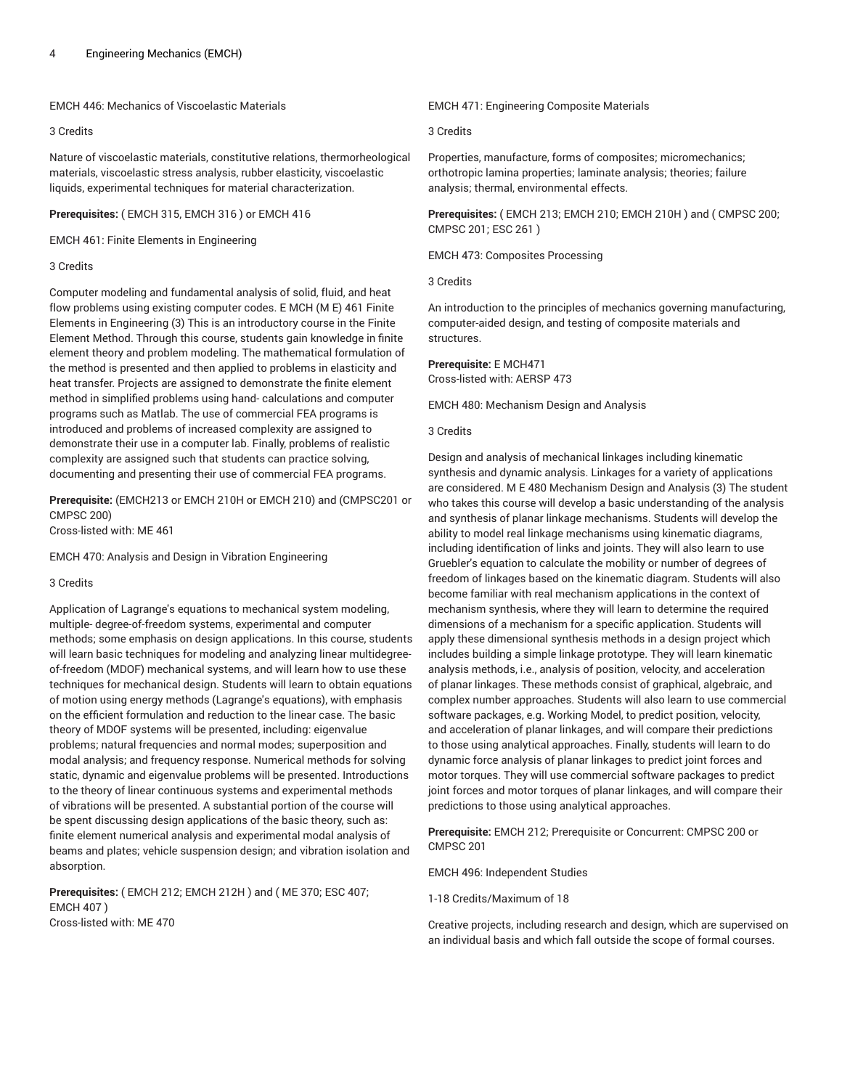EMCH 446: Mechanics of Viscoelastic Materials

## 3 Credits

Nature of viscoelastic materials, constitutive relations, thermorheological materials, viscoelastic stress analysis, rubber elasticity, viscoelastic liquids, experimental techniques for material characterization.

## **Prerequisites:** ( EMCH 315, EMCH 316 ) or EMCH 416

EMCH 461: Finite Elements in Engineering

## 3 Credits

Computer modeling and fundamental analysis of solid, fluid, and heat flow problems using existing computer codes. E MCH (M E) 461 Finite Elements in Engineering (3) This is an introductory course in the Finite Element Method. Through this course, students gain knowledge in finite element theory and problem modeling. The mathematical formulation of the method is presented and then applied to problems in elasticity and heat transfer. Projects are assigned to demonstrate the finite element method in simplified problems using hand- calculations and computer programs such as Matlab. The use of commercial FEA programs is introduced and problems of increased complexity are assigned to demonstrate their use in a computer lab. Finally, problems of realistic complexity are assigned such that students can practice solving, documenting and presenting their use of commercial FEA programs.

**Prerequisite:** (EMCH213 or EMCH 210H or EMCH 210) and (CMPSC201 or CMPSC 200)

Cross-listed with: ME 461

EMCH 470: Analysis and Design in Vibration Engineering

## 3 Credits

Application of Lagrange's equations to mechanical system modeling, multiple- degree-of-freedom systems, experimental and computer methods; some emphasis on design applications. In this course, students will learn basic techniques for modeling and analyzing linear multidegreeof-freedom (MDOF) mechanical systems, and will learn how to use these techniques for mechanical design. Students will learn to obtain equations of motion using energy methods (Lagrange's equations), with emphasis on the efficient formulation and reduction to the linear case. The basic theory of MDOF systems will be presented, including: eigenvalue problems; natural frequencies and normal modes; superposition and modal analysis; and frequency response. Numerical methods for solving static, dynamic and eigenvalue problems will be presented. Introductions to the theory of linear continuous systems and experimental methods of vibrations will be presented. A substantial portion of the course will be spent discussing design applications of the basic theory, such as: finite element numerical analysis and experimental modal analysis of beams and plates; vehicle suspension design; and vibration isolation and absorption.

**Prerequisites:** ( EMCH 212; EMCH 212H ) and ( ME 370; ESC 407; EMCH 407 ) Cross-listed with: ME 470

EMCH 471: Engineering Composite Materials

#### 3 Credits

Properties, manufacture, forms of composites; micromechanics; orthotropic lamina properties; laminate analysis; theories; failure analysis; thermal, environmental effects.

**Prerequisites:** ( EMCH 213; EMCH 210; EMCH 210H ) and ( CMPSC 200; CMPSC 201; ESC 261 )

EMCH 473: Composites Processing

3 Credits

An introduction to the principles of mechanics governing manufacturing, computer-aided design, and testing of composite materials and structures.

**Prerequisite:** E MCH471 Cross-listed with: AERSP 473

EMCH 480: Mechanism Design and Analysis

#### 3 Credits

Design and analysis of mechanical linkages including kinematic synthesis and dynamic analysis. Linkages for a variety of applications are considered. M E 480 Mechanism Design and Analysis (3) The student who takes this course will develop a basic understanding of the analysis and synthesis of planar linkage mechanisms. Students will develop the ability to model real linkage mechanisms using kinematic diagrams, including identification of links and joints. They will also learn to use Gruebler's equation to calculate the mobility or number of degrees of freedom of linkages based on the kinematic diagram. Students will also become familiar with real mechanism applications in the context of mechanism synthesis, where they will learn to determine the required dimensions of a mechanism for a specific application. Students will apply these dimensional synthesis methods in a design project which includes building a simple linkage prototype. They will learn kinematic analysis methods, i.e., analysis of position, velocity, and acceleration of planar linkages. These methods consist of graphical, algebraic, and complex number approaches. Students will also learn to use commercial software packages, e.g. Working Model, to predict position, velocity, and acceleration of planar linkages, and will compare their predictions to those using analytical approaches. Finally, students will learn to do dynamic force analysis of planar linkages to predict joint forces and motor torques. They will use commercial software packages to predict joint forces and motor torques of planar linkages, and will compare their predictions to those using analytical approaches.

**Prerequisite:** EMCH 212; Prerequisite or Concurrent: CMPSC 200 or CMPSC 201

EMCH 496: Independent Studies

1-18 Credits/Maximum of 18

Creative projects, including research and design, which are supervised on an individual basis and which fall outside the scope of formal courses.